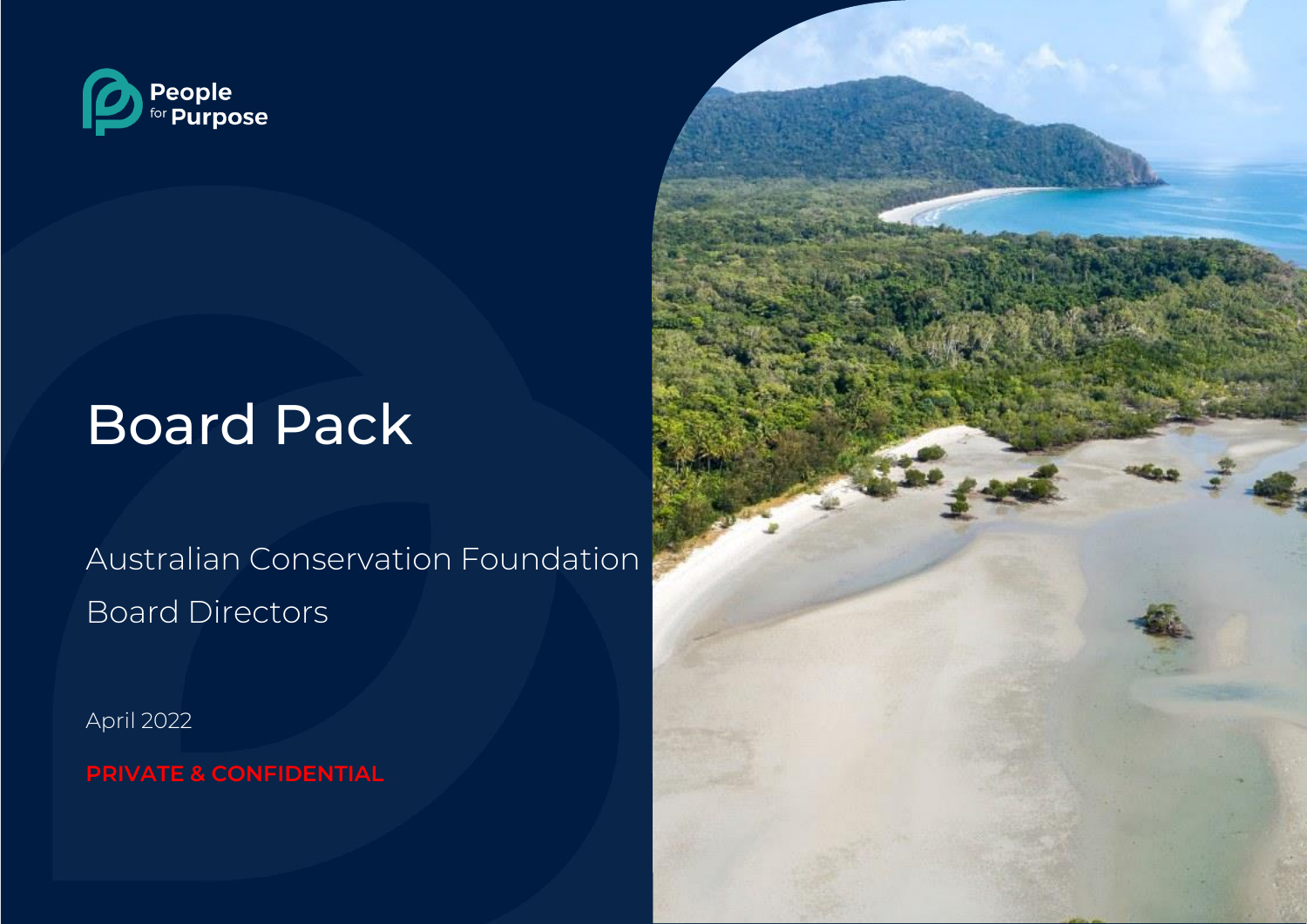

# Board Pack

Australian Conservation Foundation Board Directors

April 2022

**PRIVATE & CONFIDENTIAL**

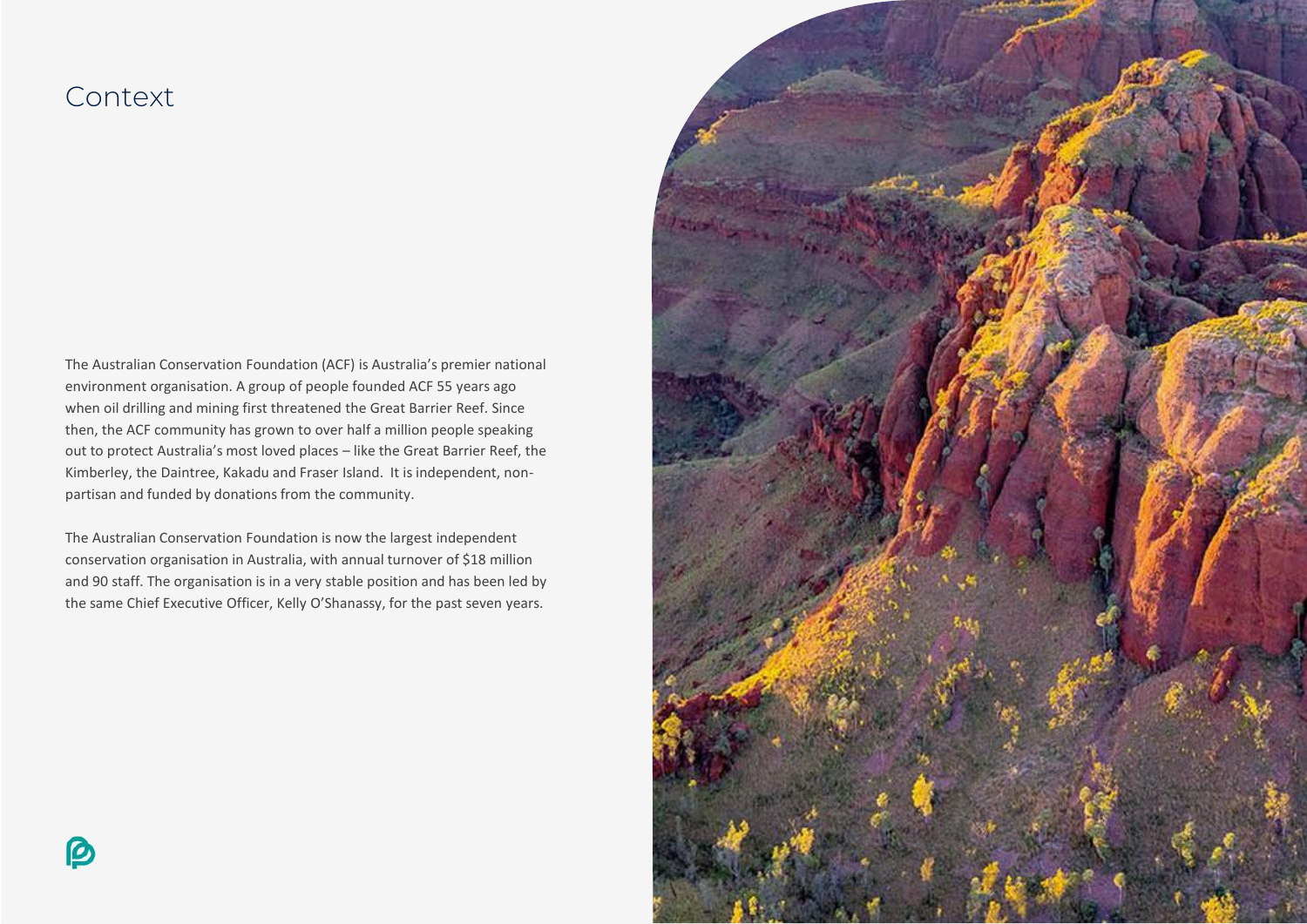### Context

The Australian Conservation Foundation (ACF) is Australia's premier national environment organisation. A group of people founded ACF 55 years ago when oil drilling and mining first threatened the Great Barrier Reef. Since then, the ACF community has grown to over half a million people speaking out to protect Australia's most loved places – like the Great Barrier Reef, the Kimberley, the Daintree, Kakadu and Fraser Island. It is independent, nonpartisan and funded by donations from the community.

The Australian Conservation Foundation is now the largest independent conservation organisation in Australia, with annual turnover of \$18 million and 90 staff. The organisation is in a very stable position and has been led by the same Chief Executive Officer, Kelly O'Shanassy, for the past seven years.

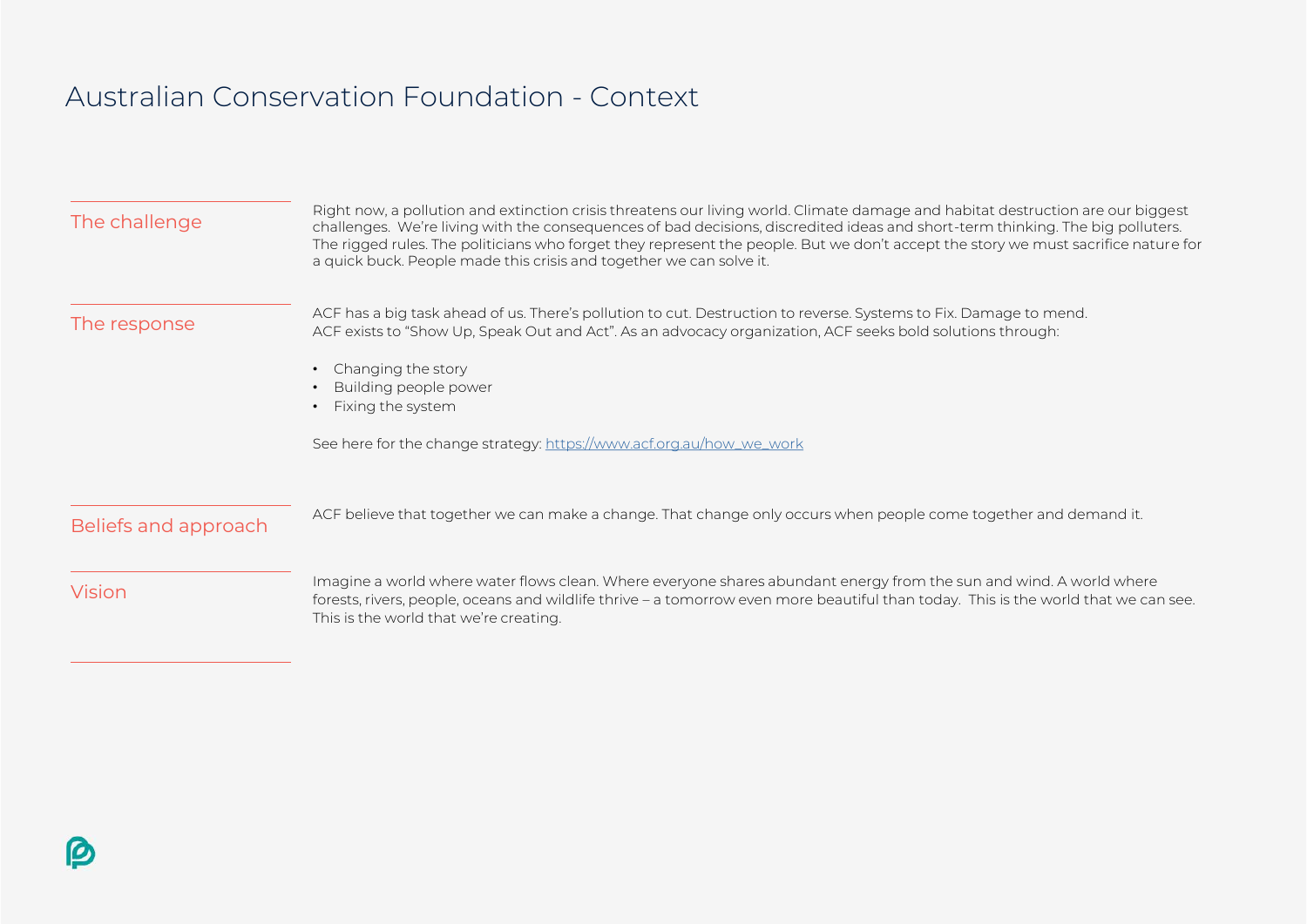## Australian Conservation Foundation - Context

| The challenge        | Right now, a pollution and extinction crisis threatens our living world. Climate damage and habitat destruction are our biggest<br>challenges. We're living with the consequences of bad decisions, discredited ideas and short-term thinking. The big polluters.<br>The rigged rules. The politicians who forget they represent the people. But we don't accept the story we must sacrifice nature for<br>a quick buck. People made this crisis and together we can solve it. |  |
|----------------------|--------------------------------------------------------------------------------------------------------------------------------------------------------------------------------------------------------------------------------------------------------------------------------------------------------------------------------------------------------------------------------------------------------------------------------------------------------------------------------|--|
| The response         | ACF has a big task ahead of us. There's pollution to cut. Destruction to reverse. Systems to Fix. Damage to mend.<br>ACF exists to "Show Up, Speak Out and Act". As an advocacy organization, ACF seeks bold solutions through:<br>Changing the story<br>Building people power<br>Fixing the system<br>See here for the change strategy: https://www.acf.org.au/how_we_work                                                                                                    |  |
| Beliefs and approach | ACF believe that together we can make a change. That change only occurs when people come together and demand it.                                                                                                                                                                                                                                                                                                                                                               |  |
| <b>Vision</b>        | Imagine a world where water flows clean. Where everyone shares abundant energy from the sun and wind. A world where<br>forests, rivers, people, oceans and wildlife thrive – a tomorrow even more beautiful than today. This is the world that we can see.<br>This is the world that we're creating.                                                                                                                                                                           |  |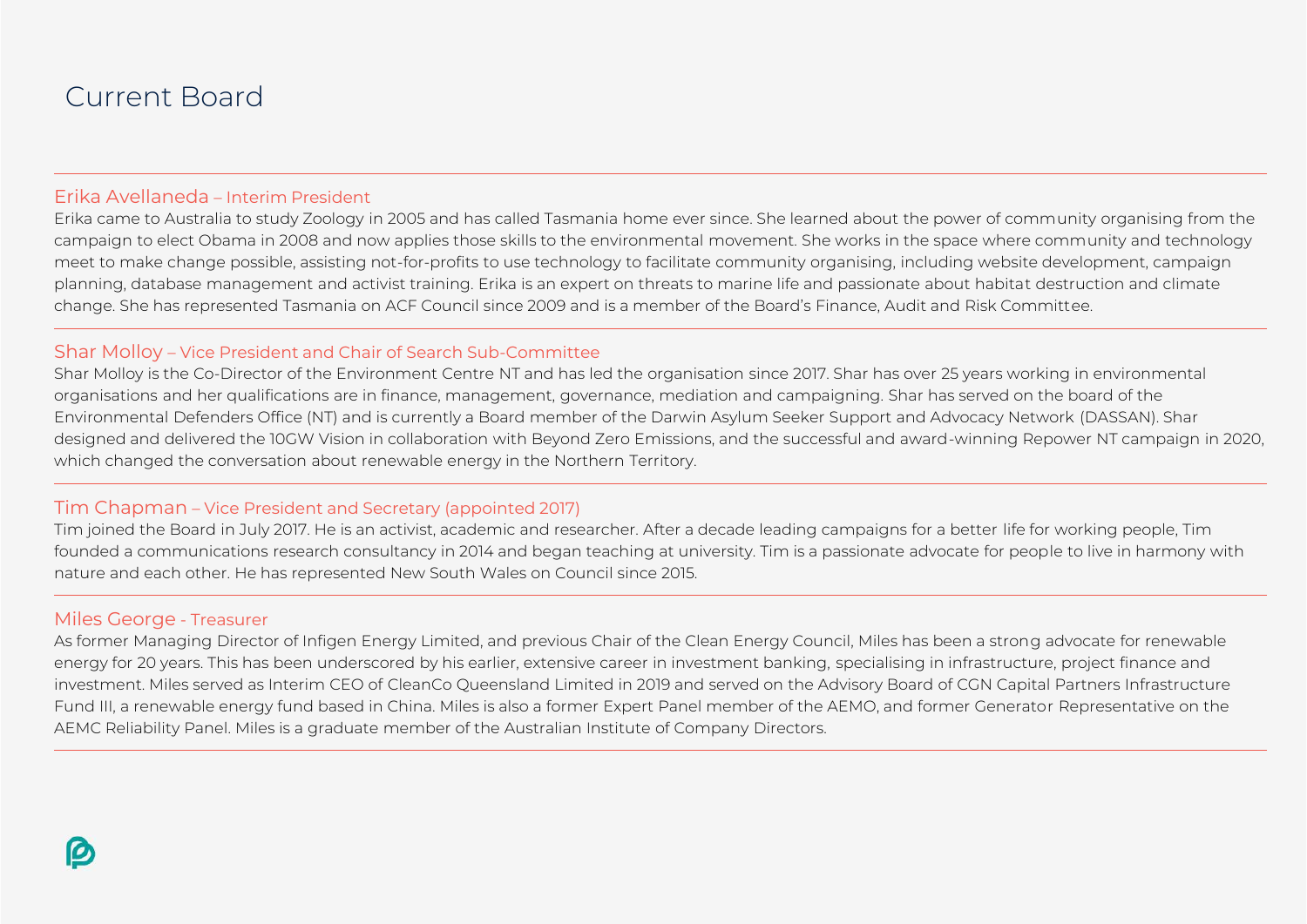### Current Board

#### Erika Avellaneda – Interim President

Erika came to Australia to study Zoology in 2005 and has called Tasmania home ever since. She learned about the power of community organising from the campaign to elect Obama in 2008 and now applies those skills to the environmental movement. She works in the space where community and technology meet to make change possible, assisting not-for-profits to use technology to facilitate community organising, including website development, campaign planning, database management and activist training. Erika is an expert on threats to marine life and passionate about habitat destruction and climate change. She has represented Tasmania on ACF Council since 2009 and is a member of the Board's Finance, Audit and Risk Committee.

#### Shar Molloy – Vice President and Chair of Search Sub-Committee

Shar Molloy is the Co-Director of the Environment Centre NT and has led the organisation since 2017. Shar has over 25 years working in environmental organisations and her qualifications are in finance, management, governance, mediation and campaigning. Shar has served on the board of the Environmental Defenders Office (NT) and is currently a Board member of the Darwin Asylum Seeker Support and Advocacy Network (DASSAN). Shar designed and delivered the 10GW Vision in collaboration with Beyond Zero Emissions, and the successful and award-winning Repower NT campaign in 2020, which changed the conversation about renewable energy in the Northern Territory.

#### Tim Chapman – Vice President and Secretary (appointed 2017)

Tim joined the Board in July 2017. He is an activist, academic and researcher. After a decade leading campaigns for a better life for working people, Tim founded a communications research consultancy in 2014 and began teaching at university. Tim is a passionate advocate for people to live in harmony with nature and each other. He has represented New South Wales on Council since 2015.

#### Miles George - Treasurer

As former Managing Director of Infigen Energy Limited, and previous Chair of the Clean Energy Council, Miles has been a strong advocate for renewable energy for 20 years. This has been underscored by his earlier, extensive career in investment banking, specialising in infrastructure, project finance and investment. Miles served as Interim CEO of CleanCo Queensland Limited in 2019 and served on the Advisory Board of CGN Capital Partners Infrastructure Fund III, a renewable energy fund based in China. Miles is also a former Expert Panel member of the AEMO, and former Generator Representative on the AEMC Reliability Panel. Miles is a graduate member of the Australian Institute of Company Directors.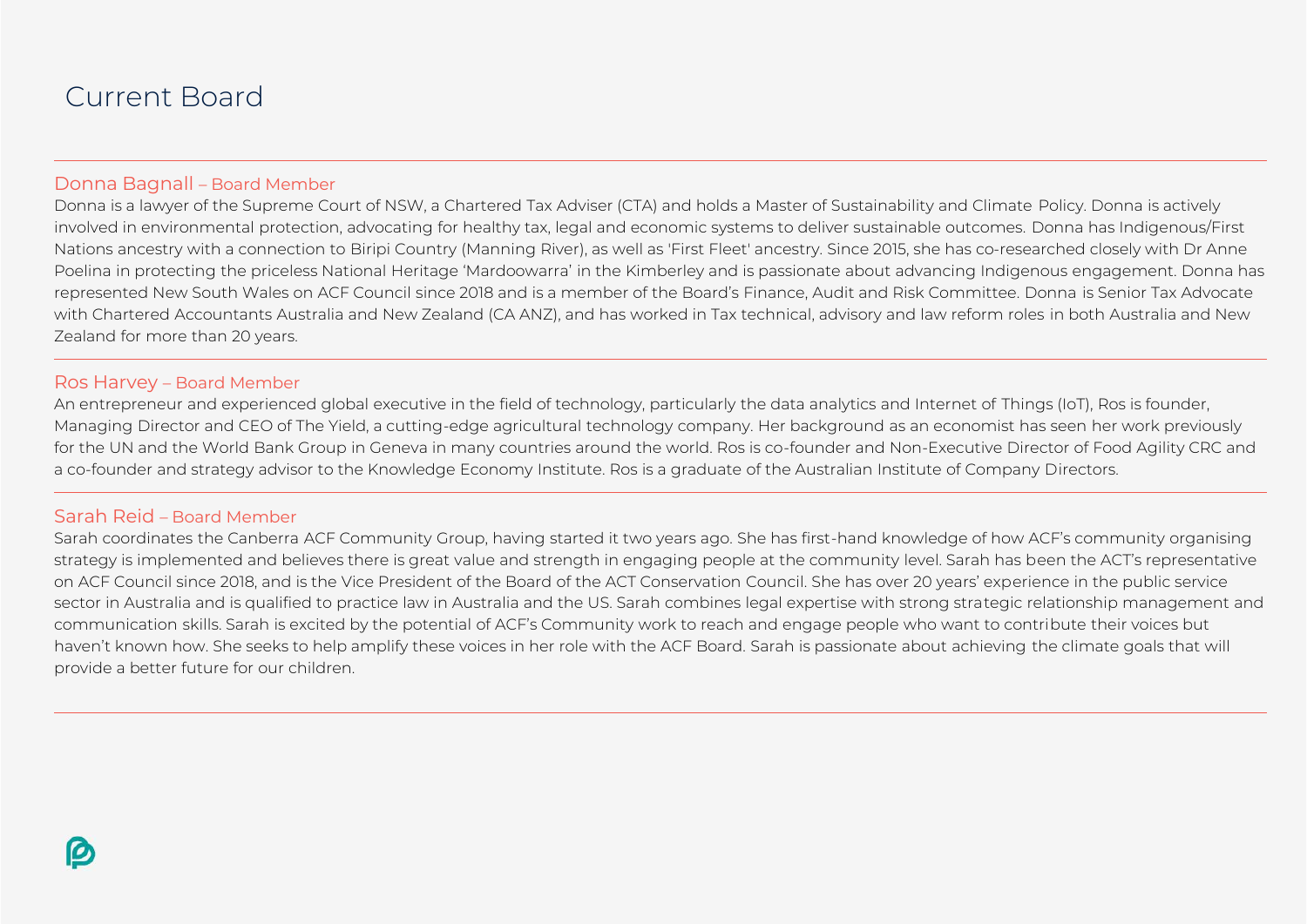### Current Board

#### Donna Bagnall – Board Member

Donna is a lawyer of the Supreme Court of NSW, a Chartered Tax Adviser (CTA) and holds a Master of Sustainability and Climate Policy. Donna is actively involved in environmental protection, advocating for healthy tax, legal and economic systems to deliver sustainable outcomes. Donna has Indigenous/First Nations ancestry with a connection to Biripi Country (Manning River), as well as 'First Fleet' ancestry. Since 2015, she has co-researched closely with Dr Anne Poelina in protecting the priceless National Heritage 'Mardoowarra' in the Kimberley and is passionate about advancing Indigenous engagement. Donna has represented New South Wales on ACF Council since 2018 and is a member of the Board's Finance, Audit and Risk Committee. Donna is Senior Tax Advocate with Chartered Accountants Australia and New Zealand (CA ANZ), and has worked in Tax technical, advisory and law reform roles in both Australia and New Zealand for more than 20 years.

#### Ros Harvey – Board Member

An entrepreneur and experienced global executive in the field of technology, particularly the data analytics and Internet of Things (IoT), Ros is founder, Managing Director and CEO of The Yield, a cutting-edge agricultural technology company. Her background as an economist has seen her work previously for the UN and the World Bank Group in Geneva in many countries around the world. Ros is co-founder and Non-Executive Director of Food Agility CRC and a co-founder and strategy advisor to the Knowledge Economy Institute. Ros is a graduate of the Australian Institute of Company Directors.

#### Sarah Reid – Board Member

Sarah coordinates the Canberra ACF Community Group, having started it two years ago. She has first-hand knowledge of how ACF's community organising strategy is implemented and believes there is great value and strength in engaging people at the community level. Sarah has been the ACT's representative on ACF Council since 2018, and is the Vice President of the Board of the ACT Conservation Council. She has over 20 years' experience in the public service sector in Australia and is qualified to practice law in Australia and the US. Sarah combines legal expertise with strong strategic relationship management and communication skills. Sarah is excited by the potential of ACF's Community work to reach and engage people who want to contribute their voices but haven't known how. She seeks to help amplify these voices in her role with the ACF Board. Sarah is passionate about achieving the climate goals that will provide a better future for our children.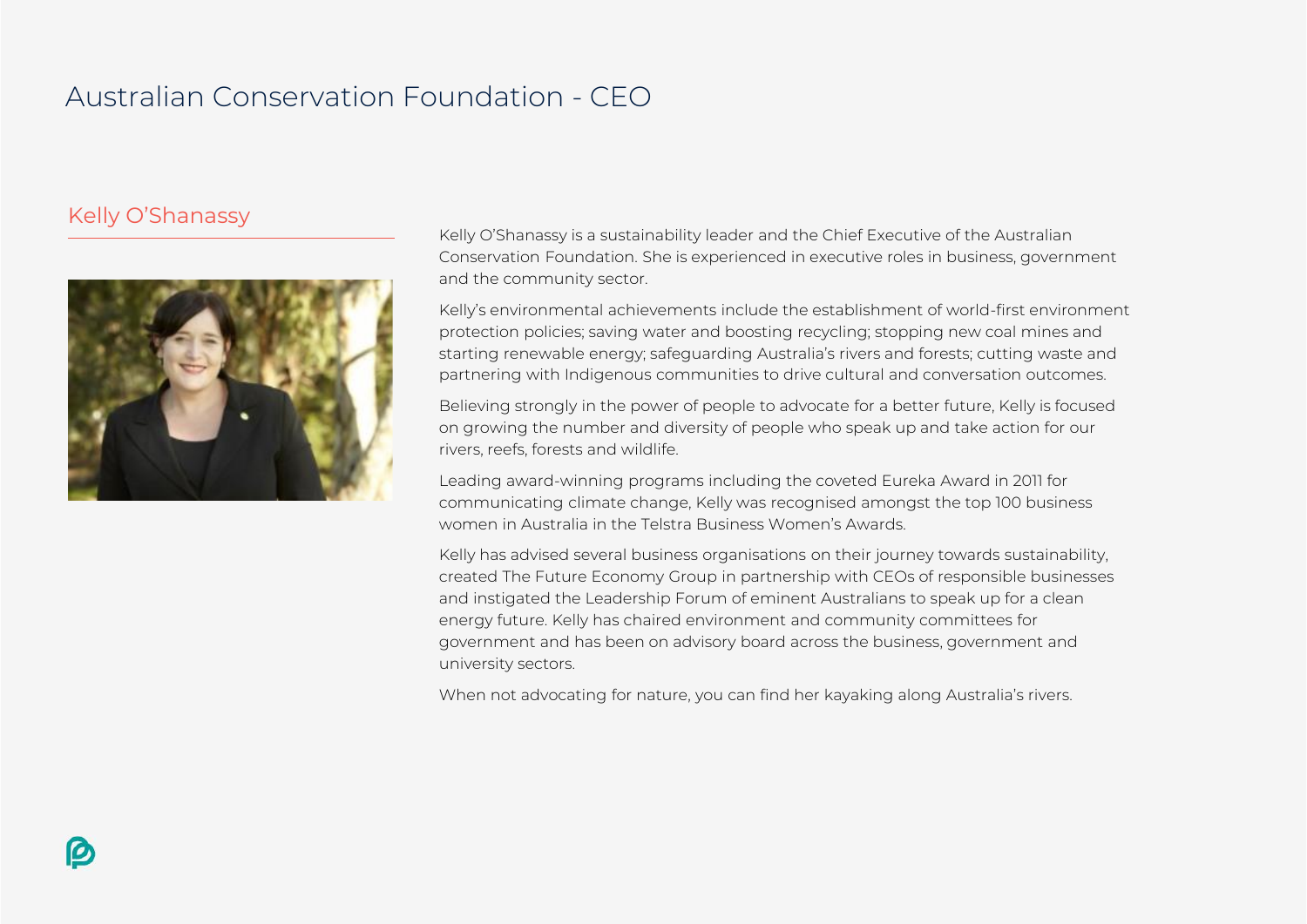## Australian Conservation Foundation - CEO

#### Kelly O'Shanassy



Kelly O'Shanassy is a sustainability leader and the Chief Executive of the Australian Conservation Foundation. She is experienced in executive roles in business, government and the community sector.

Kelly's environmental achievements include the establishment of world-first environment protection policies; saving water and boosting recycling; stopping new coal mines and starting renewable energy; safeguarding Australia's rivers and forests; cutting waste and partnering with Indigenous communities to drive cultural and conversation outcomes.

Believing strongly in the power of people to advocate for a better future, Kelly is focused on growing the number and diversity of people who speak up and take action for our rivers, reefs, forests and wildlife.

Leading award-winning programs including the coveted Eureka Award in 2011 for communicating climate change, Kelly was recognised amongst the top 100 business women in Australia in the Telstra Business Women's Awards.

Kelly has advised several business organisations on their journey towards sustainability, created The Future Economy Group in partnership with CEOs of responsible businesses and instigated the Leadership Forum of eminent Australians to speak up for a clean energy future. Kelly has chaired environment and community committees for government and has been on advisory board across the business, government and university sectors.

When not advocating for nature, you can find her kayaking along Australia's rivers.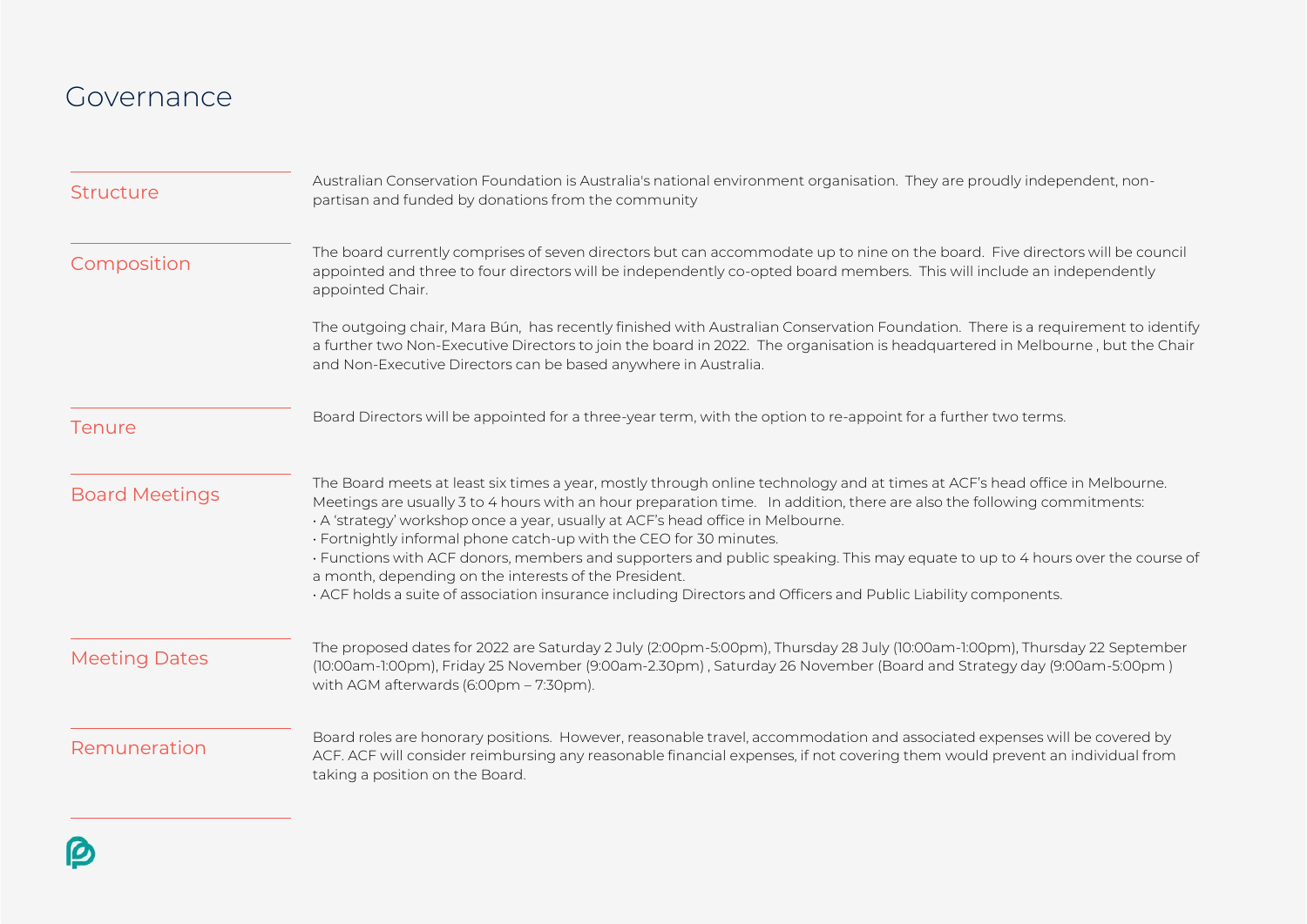### Governance

| <b>Structure</b>      | Australian Conservation Foundation is Australia's national environment organisation. They are proudly independent, non-<br>partisan and funded by donations from the community                                                                                                                                                                                                                                                                                                                                                                                                                                                                                                                                             |  |
|-----------------------|----------------------------------------------------------------------------------------------------------------------------------------------------------------------------------------------------------------------------------------------------------------------------------------------------------------------------------------------------------------------------------------------------------------------------------------------------------------------------------------------------------------------------------------------------------------------------------------------------------------------------------------------------------------------------------------------------------------------------|--|
| Composition           | The board currently comprises of seven directors but can accommodate up to nine on the board. Five directors will be council<br>appointed and three to four directors will be independently co-opted board members. This will include an independently<br>appointed Chair.                                                                                                                                                                                                                                                                                                                                                                                                                                                 |  |
|                       | The outgoing chair, Mara Bún, has recently finished with Australian Conservation Foundation. There is a requirement to identify<br>a further two Non-Executive Directors to join the board in 2022. The organisation is headquartered in Melbourne, but the Chair<br>and Non-Executive Directors can be based anywhere in Australia.                                                                                                                                                                                                                                                                                                                                                                                       |  |
| Tenure                | Board Directors will be appointed for a three-year term, with the option to re-appoint for a further two terms.                                                                                                                                                                                                                                                                                                                                                                                                                                                                                                                                                                                                            |  |
| <b>Board Meetings</b> | The Board meets at least six times a year, mostly through online technology and at times at ACF's head office in Melbourne.<br>Meetings are usually 3 to 4 hours with an hour preparation time. In addition, there are also the following commitments:<br>· A 'strategy' workshop once a year, usually at ACF's head office in Melbourne.<br>· Fortnightly informal phone catch-up with the CEO for 30 minutes.<br>· Functions with ACF donors, members and supporters and public speaking. This may equate to up to 4 hours over the course of<br>a month, depending on the interests of the President.<br>. ACF holds a suite of association insurance including Directors and Officers and Public Liability components. |  |
| <b>Meeting Dates</b>  | The proposed dates for 2022 are Saturday 2 July (2:00pm-5:00pm), Thursday 28 July (10:00am-1:00pm), Thursday 22 September<br>(10:00am-1:00pm), Friday 25 November (9:00am-2.30pm), Saturday 26 November (Board and Strategy day (9:00am-5:00pm)<br>with AGM afterwards (6:00pm - 7:30pm).                                                                                                                                                                                                                                                                                                                                                                                                                                  |  |
| Remuneration          | Board roles are honorary positions. However, reasonable travel, accommodation and associated expenses will be covered by<br>ACF. ACF will consider reimbursing any reasonable financial expenses, if not covering them would prevent an individual from<br>taking a position on the Board.                                                                                                                                                                                                                                                                                                                                                                                                                                 |  |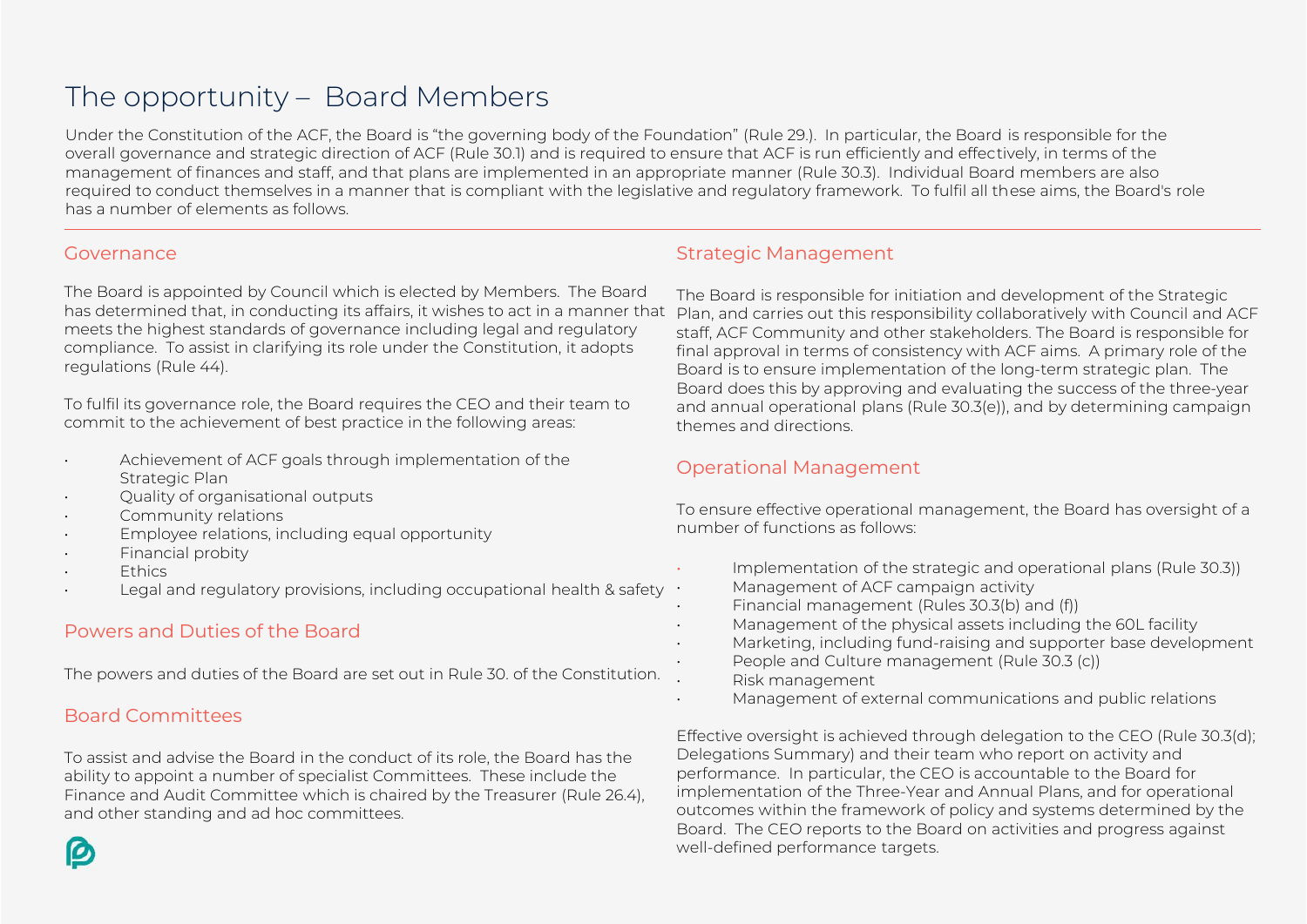### The opportunity – Board Members

Under the Constitution of the ACF, the Board is "the governing body of the Foundation" (Rule 29.). In particular, the Board is responsible for the overall governance and strategic direction of ACF (Rule 30.1) and is required to ensure that ACF is run efficiently and effectively, in terms of the management of finances and staff, and that plans are implemented in an appropriate manner (Rule 30.3). Individual Board members are also required to conduct themselves in a manner that is compliant with the legislative and regulatory framework. To fulfil all these aims, the Board's role has a number of elements as follows.

#### Governance

The Board is appointed by Council which is elected by Members. The Board has determined that, in conducting its affairs, it wishes to act in a manner that meets the highest standards of governance including legal and regulatory compliance. To assist in clarifying its role under the Constitution, it adopts regulations (Rule 44).

To fulfil its governance role, the Board requires the CEO and their team to commit to the achievement of best practice in the following areas:

- Achievement of ACF goals through implementation of the Strategic Plan
- Quality of organisational outputs
- Community relations
- Employee relations, including equal opportunity
- Financial probity
- Ethics
- Legal and regulatory provisions, including occupational health & safety

#### Powers and Duties of the Board

The powers and duties of the Board are set out in Rule 30. of the Constitution.

#### Board Committees

To assist and advise the Board in the conduct of its role, the Board has the ability to appoint a number of specialist Committees. These include the Finance and Audit Committee which is chaired by the Treasurer (Rule 26.4), and other standing and ad hoc committees.

#### Strategic Management

The Board is responsible for initiation and development of the Strategic Plan, and carries out this responsibility collaboratively with Council and ACF staff, ACF Community and other stakeholders. The Board is responsible for final approval in terms of consistency with ACF aims. A primary role of the Board is to ensure implementation of the long-term strategic plan. The Board does this by approving and evaluating the success of the three-year and annual operational plans (Rule 30.3(e)), and by determining campaign themes and directions.

#### Operational Management

To ensure effective operational management, the Board has oversight of a number of functions as follows:

- Implementation of the strategic and operational plans (Rule 30.3)) • Management of ACF campaign activity
- Financial management (Rules 30.3(b) and (f))
- Management of the physical assets including the 60L facility
- Marketing, including fund-raising and supporter base development
- People and Culture management (Rule 30.3 (c))
- Risk management
- Management of external communications and public relations

Effective oversight is achieved through delegation to the CEO (Rule 30.3(d); Delegations Summary) and their team who report on activity and performance. In particular, the CEO is accountable to the Board for implementation of the Three-Year and Annual Plans, and for operational outcomes within the framework of policy and systems determined by the Board. The CEO reports to the Board on activities and progress against well-defined performance targets.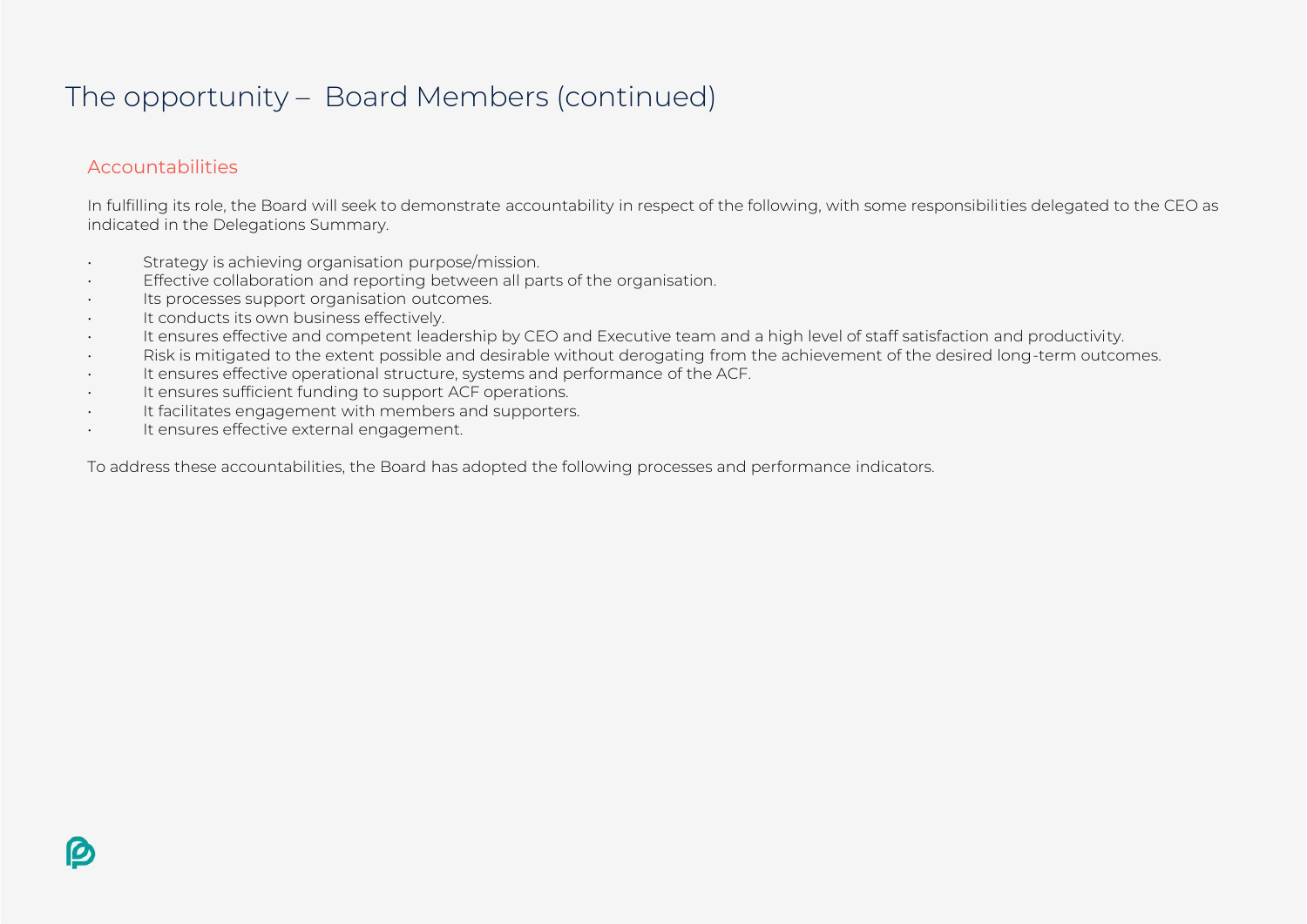### The opportunity – Board Members (continued)

#### Accountabilities

In fulfilling its role, the Board will seek to demonstrate accountability in respect of the following, with some responsibilities delegated to the CEO as indicated in the Delegations Summary.

- Strategy is achieving organisation purpose/mission.
- Effective collaboration and reporting between all parts of the organisation.
- Its processes support organisation outcomes.
- It conducts its own business effectively.
- It ensures effective and competent leadership by CEO and Executive team and a high level of staff satisfaction and productivity.
- Risk is mitigated to the extent possible and desirable without derogating from the achievement of the desired long-term outcomes.
- It ensures effective operational structure, systems and performance of the ACF.
- It ensures sufficient funding to support ACF operations.
- It facilitates engagement with members and supporters.
- It ensures effective external engagement.

To address these accountabilities, the Board has adopted the following processes and performance indicators.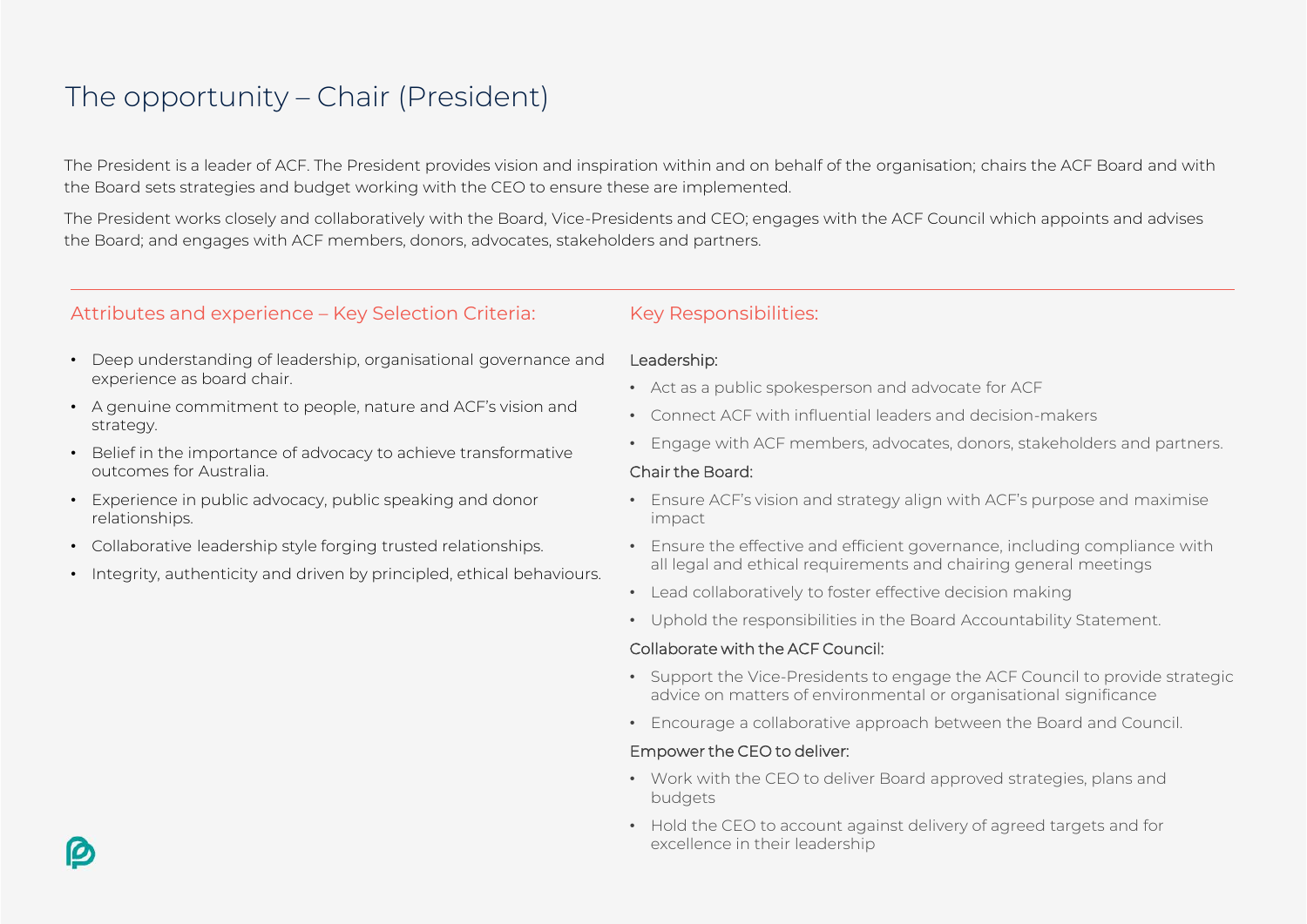### The opportunity – Chair (President)

The President is a leader of ACF. The President provides vision and inspiration within and on behalf of the organisation; chairs the ACF Board and with the Board sets strategies and budget working with the CEO to ensure these are implemented.

The President works closely and collaboratively with the Board, Vice-Presidents and CEO; engages with the ACF Council which appoints and advises the Board; and engages with ACF members, donors, advocates, stakeholders and partners.

#### Attributes and experience – Key Selection Criteria: Key Responsibilities:

- Deep understanding of leadership, organisational governance and experience as board chair.
- A genuine commitment to people, nature and ACF's vision and strategy.
- Belief in the importance of advocacy to achieve transformative outcomes for Australia.
- Experience in public advocacy, public speaking and donor relationships.
- Collaborative leadership style forging trusted relationships.
- Integrity, authenticity and driven by principled, ethical behaviours.

#### Leadership:

- Act as a public spokesperson and advocate for ACF
- Connect ACF with influential leaders and decision-makers
- Engage with ACF members, advocates, donors, stakeholders and partners.

#### Chair the Board:

- Ensure ACF's vision and strategy align with ACF's purpose and maximise impact
- Ensure the effective and efficient governance, including compliance with all legal and ethical requirements and chairing general meetings
- Lead collaboratively to foster effective decision making
- Uphold the responsibilities in the Board Accountability Statement.

#### Collaborate with the ACF Council:

- Support the Vice-Presidents to engage the ACF Council to provide strategic advice on matters of environmental or organisational significance
- Encourage a collaborative approach between the Board and Council.

#### Empower the CEO to deliver:

- Work with the CEO to deliver Board approved strategies, plans and budgets
- Hold the CEO to account against delivery of agreed targets and for excellence in their leadership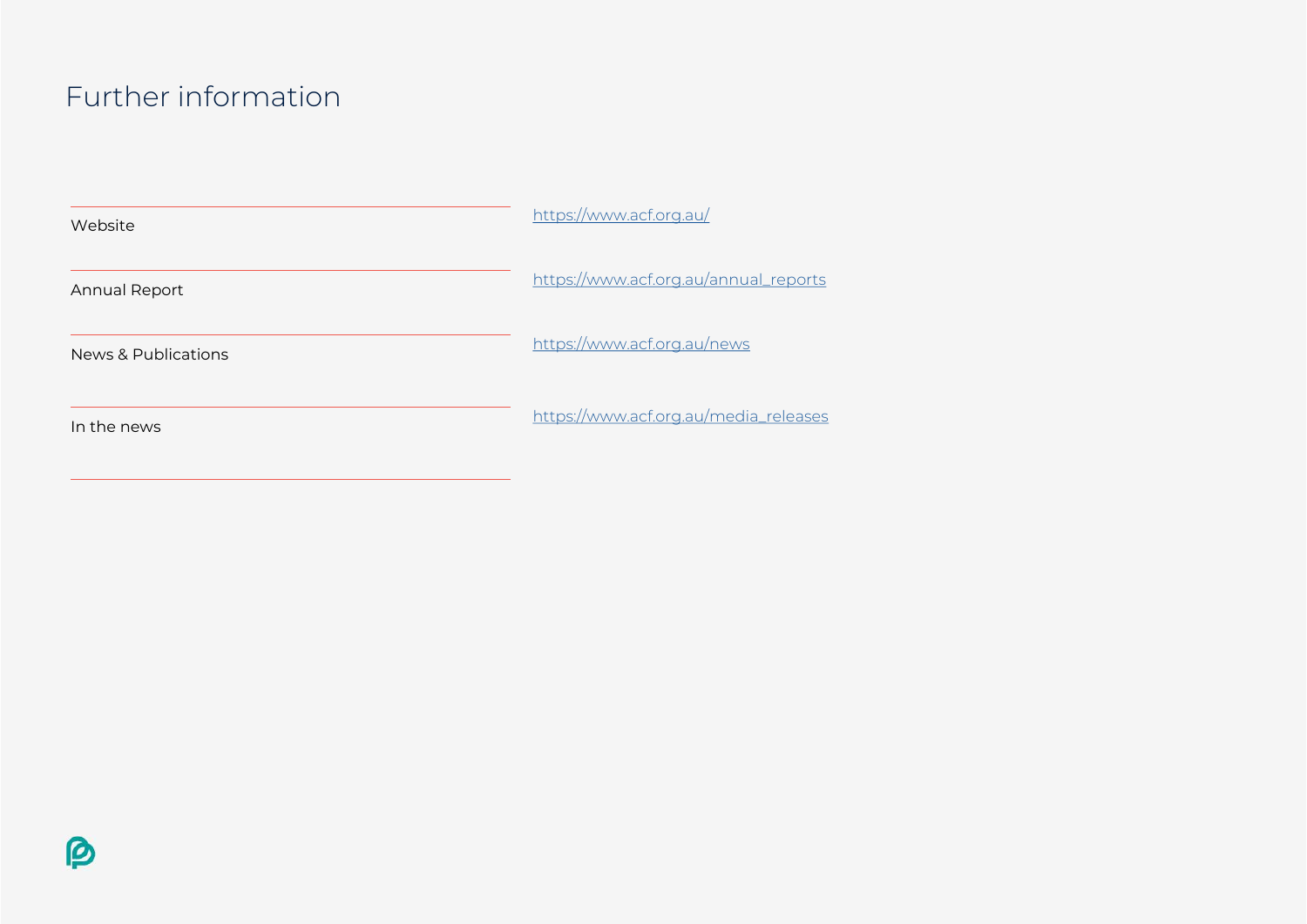### Further information

| Website              | https://www.acf.org.au/               |
|----------------------|---------------------------------------|
| <b>Annual Report</b> | https://www.acf.org.au/annual_reports |
| News & Publications  | https://www.acf.org.au/news           |
| In the news          | https://www.acf.org.au/media_releases |